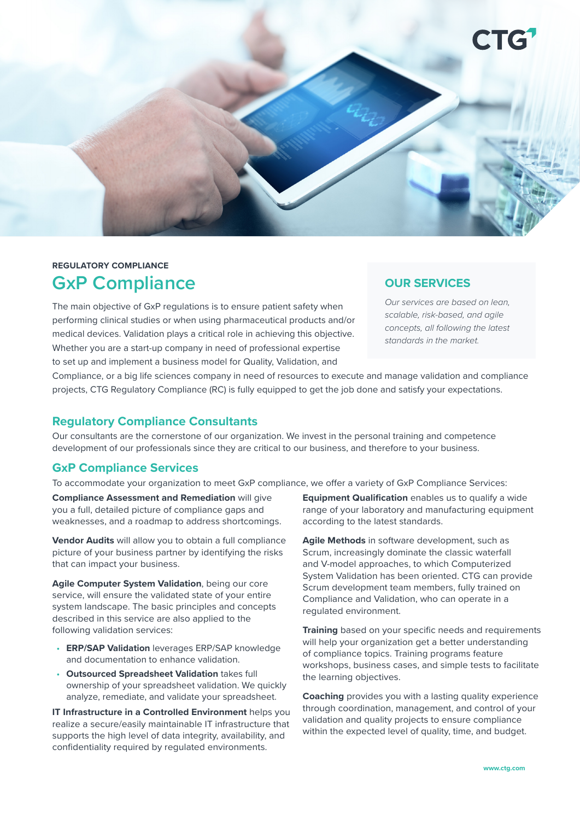

# **REGULATORY COMPLIANCE GxP Compliance**

The main objective of GxP regulations is to ensure patient safety when performing clinical studies or when using pharmaceutical products and/or medical devices. Validation plays a critical role in achieving this objective. Whether you are a start-up company in need of professional expertise to set up and implement a business model for Quality, Validation, and

# **OUR SERVICES**

*Our services are based on lean, scalable, risk-based, and agile concepts, all following the latest standards in the market.*

Compliance, or a big life sciences company in need of resources to execute and manage validation and compliance projects, CTG Regulatory Compliance (RC) is fully equipped to get the job done and satisfy your expectations.

# **Regulatory Compliance Consultants**

Our consultants are the cornerstone of our organization. We invest in the personal training and competence development of our professionals since they are critical to our business, and therefore to your business.

# **GxP Compliance Services**

To accommodate your organization to meet GxP compliance, we offer a variety of GxP Compliance Services:

**Compliance Assessment and Remediation** will give you a full, detailed picture of compliance gaps and weaknesses, and a roadmap to address shortcomings.

**Vendor Audits** will allow you to obtain a full compliance picture of your business partner by identifying the risks that can impact your business.

**Agile Computer System Validation**, being our core service, will ensure the validated state of your entire system landscape. The basic principles and concepts described in this service are also applied to the following validation services:

- **ERP/SAP Validation** leverages ERP/SAP knowledge and documentation to enhance validation.
- **Outsourced Spreadsheet Validation** takes full ownership of your spreadsheet validation. We quickly analyze, remediate, and validate your spreadsheet.

**IT Infrastructure in a Controlled Environment** helps you realize a secure/easily maintainable IT infrastructure that supports the high level of data integrity, availability, and confidentiality required by regulated environments.

**Equipment Qualification** enables us to qualify a wide range of your laboratory and manufacturing equipment according to the latest standards.

**Agile Methods** in software development, such as Scrum, increasingly dominate the classic waterfall and V-model approaches, to which Computerized System Validation has been oriented. CTG can provide Scrum development team members, fully trained on Compliance and Validation, who can operate in a regulated environment.

**Training** based on your specific needs and requirements will help your organization get a better understanding of compliance topics. Training programs feature workshops, business cases, and simple tests to facilitate the learning objectives.

**Coaching** provides you with a lasting quality experience through coordination, management, and control of your validation and quality projects to ensure compliance within the expected level of quality, time, and budget.